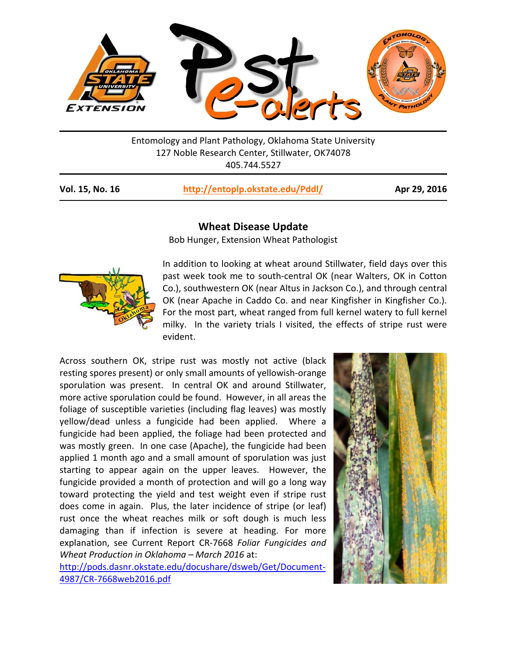

Entomology and Plant Pathology, Oklahoma State University 127 Noble Research Center, Stillwater, OK74078 405.744.5527

| Vol. 15, No. 16 | http://entoplp.okstate.edu/Pddl/ | Apr 29, 2016 |
|-----------------|----------------------------------|--------------|
|-----------------|----------------------------------|--------------|

## **Wheat Disease Update**

Bob Hunger, Extension Wheat Pathologist



In addition to looking at wheat around Stillwater, field days over this past week took me to south‐central OK (near Walters, OK in Cotton Co.), southwestern OK (near Altus in Jackson Co.), and through central OK (near Apache in Caddo Co. and near Kingfisher in Kingfisher Co.). For the most part, wheat ranged from full kernel watery to full kernel milky. In the variety trials I visited, the effects of stripe rust were evident.

Across southern OK, stripe rust was mostly not active (black resting spores present) or only small amounts of yellowish‐orange sporulation was present. In central OK and around Stillwater, more active sporulation could be found. However, in all areas the foliage of susceptible varieties (including flag leaves) was mostly yellow/dead unless a fungicide had been applied. Where a fungicide had been applied, the foliage had been protected and was mostly green. In one case (Apache), the fungicide had been applied 1 month ago and a small amount of sporulation was just starting to appear again on the upper leaves. However, the fungicide provided a month of protection and will go a long way toward protecting the yield and test weight even if stripe rust does come in again. Plus, the later incidence of stripe (or leaf) rust once the wheat reaches milk or soft dough is much less damaging than if infection is severe at heading. For more explanation, see Current Report CR‐7668 *Foliar Fungicides and Wheat Production in Oklahoma – March 2016* at:

http://pods.dasnr.okstate.edu/docushare/dsweb/Get/Document‐ 4987/CR‐7668web2016.pdf

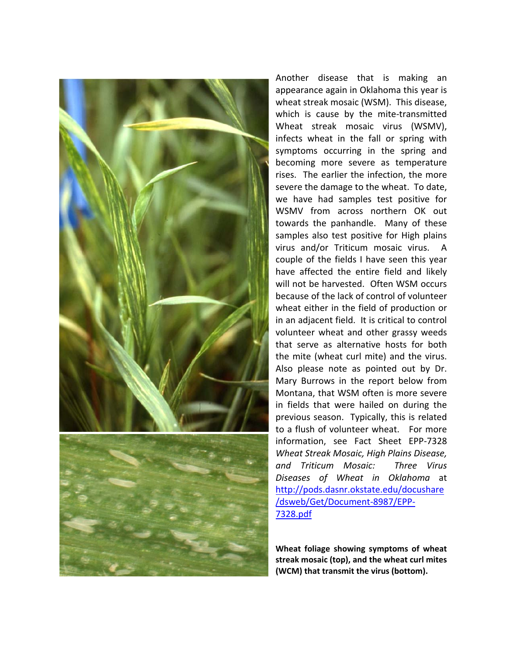

Another disease that is making an appearance again in Oklahoma this year is wheat streak mosaic (WSM). This disease, which is cause by the mite-transmitted Wheat streak mosaic virus (WSMV), infects wheat in the fall or spring with symptoms occurring in the spring and becoming more severe as temperature rises. The earlier the infection, the more severe the damage to the wheat. To date, we have had samples test positive for WSMV from across northern OK out towards the panhandle. Many of these samples also test positive for High plains virus and/or Triticum mosaic virus. A couple of the fields I have seen this year have affected the entire field and likely will not be harvested. Often WSM occurs because of the lack of control of volunteer wheat either in the field of production or in an adjacent field. It is critical to control volunteer wheat and other grassy weeds that serve as alternative hosts for both the mite (wheat curl mite) and the virus. Also please note as pointed out by Dr. Mary Burrows in the report below from Montana, that WSM often is more severe in fields that were hailed on during the previous season. Typically, this is related to a flush of volunteer wheat. For more information, see Fact Sheet EPP‐7328 *Wheat Streak Mosaic, High Plains Disease, and Triticum Mosaic: Three Virus Diseases of Wheat in Oklahoma* at http://pods.dasnr.okstate.edu/docushare /dsweb/Get/Document‐8987/EPP‐ 7328.pdf

**Wheat foliage showing symptoms of wheat streak mosaic (top), and the wheat curl mites (WCM) that transmit the virus (bottom).**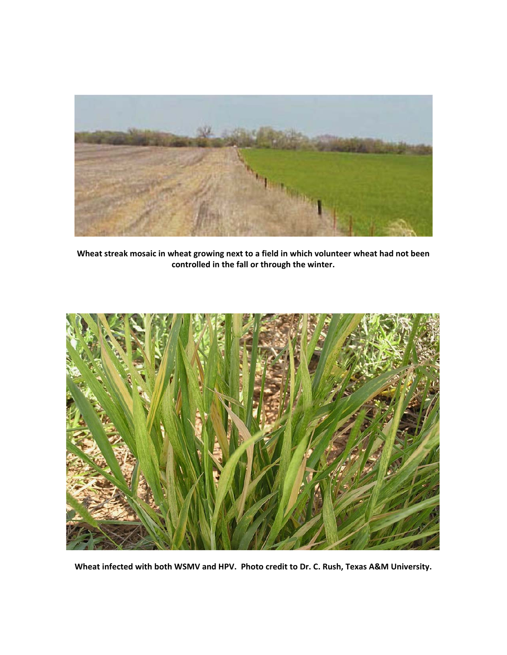

**Wheat streak mosaic in wheat growing next to a field in which volunteer wheat had not been controlled in the fall or through the winter.** 



**Wheat infected with both WSMV and HPV. Photo credit to Dr. C. Rush, Texas A&M University.**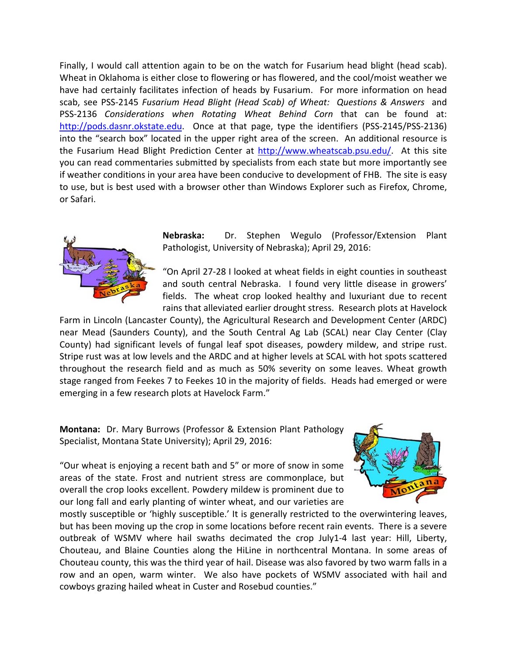Finally, I would call attention again to be on the watch for Fusarium head blight (head scab). Wheat in Oklahoma is either close to flowering or has flowered, and the cool/moist weather we have had certainly facilitates infection of heads by Fusarium. For more information on head scab, see PSS‐2145 *Fusarium Head Blight (Head Scab) of Wheat: Questions & Answers* and PSS-2136 *Considerations when Rotating Wheat Behind Corn* that can be found at: http://pods.dasnr.okstate.edu. Once at that page, type the identifiers (PSS-2145/PSS-2136) into the "search box" located in the upper right area of the screen. An additional resource is the Fusarium Head Blight Prediction Center at http://www.wheatscab.psu.edu/. At this site you can read commentaries submitted by specialists from each state but more importantly see if weather conditions in your area have been conducive to development of FHB. The site is easy to use, but is best used with a browser other than Windows Explorer such as Firefox, Chrome, or Safari.



**Nebraska:**  Dr. Stephen Wegulo (Professor/Extension Plant Pathologist, University of Nebraska); April 29, 2016:

"On April 27‐28 I looked at wheat fields in eight counties in southeast and south central Nebraska. I found very little disease in growers' fields. The wheat crop looked healthy and luxuriant due to recent rains that alleviated earlier drought stress. Research plots at Havelock

Farm in Lincoln (Lancaster County), the Agricultural Research and Development Center (ARDC) near Mead (Saunders County), and the South Central Ag Lab (SCAL) near Clay Center (Clay County) had significant levels of fungal leaf spot diseases, powdery mildew, and stripe rust. Stripe rust was at low levels and the ARDC and at higher levels at SCAL with hot spots scattered throughout the research field and as much as 50% severity on some leaves. Wheat growth stage ranged from Feekes 7 to Feekes 10 in the majority of fields. Heads had emerged or were emerging in a few research plots at Havelock Farm."

**Montana:** Dr. Mary Burrows (Professor & Extension Plant Pathology Specialist, Montana State University); April 29, 2016:

"Our wheat is enjoying a recent bath and 5" or more of snow in some areas of the state. Frost and nutrient stress are commonplace, but overall the crop looks excellent. Powdery mildew is prominent due to our long fall and early planting of winter wheat, and our varieties are



mostly susceptible or 'highly susceptible.' It is generally restricted to the overwintering leaves, but has been moving up the crop in some locations before recent rain events. There is a severe outbreak of WSMV where hail swaths decimated the crop July1-4 last year: Hill, Liberty, Chouteau, and Blaine Counties along the HiLine in northcentral Montana. In some areas of Chouteau county, this was the third year of hail. Disease was also favored by two warm falls in a row and an open, warm winter. We also have pockets of WSMV associated with hail and cowboys grazing hailed wheat in Custer and Rosebud counties."